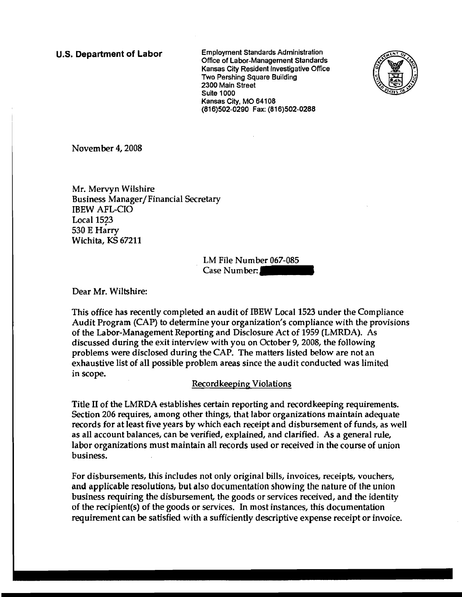U.S. Department of Labor Employment Standards Administration Office of labor-Management Standards Kansas City Resident Investigative Office Two Pershing Square Building 2300 Main Street Suite 1000 Kansas City, MO 64108 (816)502-0290 Fax: (816)502-0288



November 4, 2008

Mr. Mervyn Wilshire Business Manager/Financial Secretary IBEW AFL-CIO Local  $1523$ 530 E Harry Wichita, KS 67211

> LM File Number 067-085 Case Number:

Dear Mr. Wiltshire:

This office has recently completed an audit of IBEW Local 1523 under the Compliance Audit Program (CAP) to determine your organization's compliance with the provisions of the Labor-Management Reporting and Disclosure Act of 1959 (LMRDA). As discussed during the exit interview with you on October 9,2008, the following problems were disclosed during the CAP. The matters listed below are not an exhaustive list of all possible problem areas since the audit conducted was limited in scope.

## Recordkeeping Violations

Title II of the LMRDA establishes certain reporting and recordkeeping requirements. Section 206 requires, among other things, that labor organizations maintain adequate records for at least five years by which each receipt and disbursement of funds, as well as all account balances, can be verified, explained, and clarified. As a general rule, labor organizations must maintain all records used or received in the course of union business.

For disbursements, this includes not only original bills, invoices, receipts, vouchers, and applicable resolutions, but also documentation showing the nature of the union business requiring the disbursement, the goods or services received, and the identity of the recipient(s) of the goods or services. In most instances, this documentation requirement can be satisfied with a sufficiently descriptive expense receipt or invoice.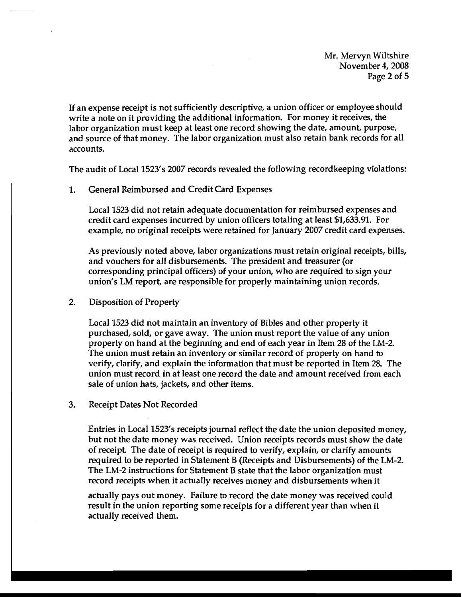Mr. Mervyn Wiltshire November 4,2008 Page 2 of 5

If an expense receipt is not sufficiently descriptive, a union officer or employee should write a note on it providing the additional information. For money it receives, the labor organization must keep at least one record showing the date, amount, purpose, and source of that money. The labor organization must also retain bank records for all accounts.

The audit of Local 1523's 2007 records revealed the following recordkeeping violations:

1. General Reimbursed and Credit Card Expenses

Local 1523 did not retain adequate documentation for reimbursed expenses and credit card expenses incurred by union officers totaling at least \$1,633.91. For example, no original receipts were retained for January 2007 credit card expenses.

As previously noted above, labor organizations must retain original receipts, bills, and vouchers for all disbursements. The president and treasurer (or corresponding principal officers) of your union, who are required to sign your union's LM report, are responsible for properly maintaining union records.

2. Disposition of Property

Local 1523 did not maintain an inventory of Bibles and other property it purchased, sold, or gave away. The union must report the value of any union property on hand at the beginning and end of each year in Item 28 of the LM-2. The union must retain an inventory or similar record of property on hand to verify, clarify, and explain the information that must be reported in Item 28. The union must record in at least one record the date and amount received from each sale of union hats, jackets, and other items.

3. Receipt Dates Not Recorded

Entries in Local 1523's receipts journal reflect the date the union deposited money, but not the date money was received. Union receipts records must show the date of receipt. The date of receipt is required to verify, explain, or clarify amounts required to be reported in Statement B (Receipts and Disbursements) of the LM-2. The LM-2 instructions for Statement B state that the labor organization must record receipts when it actually receives money and disbursements when it

actually pays out money. Failure to record the date money was received could result in the union reporting some receipts for a different year than when it actually received them.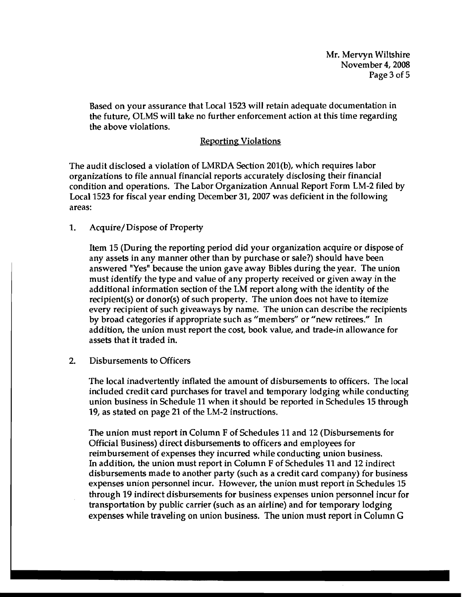Mr. Mervyn Wiltshire November 4,2008 Page 3 of 5

Based on your assurance that Local 1523 will retain adequate documentation in the future, OLMS will take no further enforcement action at this time regarding the above violations.

## Reporting Violations

The audit disclosed a violation of LMRDA Section 201(b), which requires labor organizations to file annual financial reports accurately disclosing their financial condition and operations. The Labor Organization Annual Report Form LM-2 filed by Local 1523 for fiscal year ending December 31,2007 was deficient in the following areas:

1. Acquire/ Dispose of Property

Item 15 (During the reporting period did your organization acquire or dispose of any assets in any manner other than by purchase or sale?) should have been answered "Yes" because the union gave away Bibles during the year. The union must identify the type and value of any property received or given away in the additional information section of the LM report along with the identity of the recipient(s) or donor(s) of such property. The union does not have to itemize every recipient of such giveaways by name. The union can describe the recipients by broad categories if appropriate such as "members" or "new retirees." In addition, the union must report the cost, book value, and trade-in allowance for assets that it traded in.

2. Disbursements to Officers

The local inadvertently inflated the amount of disbursements to officers. The local included credit card purchases for travel and temporary lodging while conducting union business in Schedule 11 when it should be reported in Schedules 15 through 19, as stated on page 21 of the LM-2 instructions.

The union must report in Column F of Schedules 11 and 12 (Disbursements for Official Business) direct disbursements to officers and employees for reimbursement of expenses they incurred while conducting union business. In addition, the union must report in Column F of Schedules 11 and 12 indirect disbursements made to another party (such as a credit card company) for business expenses union personnel incur. However, the union must report in Schedules 15 through 19 indirect disbursements for business expenses union personnel incur for transportation by public carrier (such as an airline) and for temporary lodging expenses while traveling on union business. The union must report in Column G